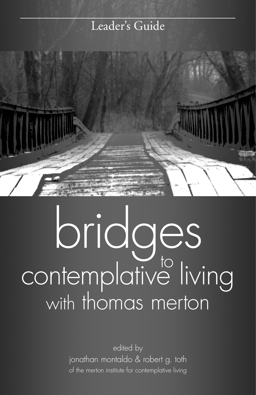## Leader's Guide



## bridges contemplative living with thomas merton to

edited by jonathan montaldo & robert g. toth of the merton institute for contemplative living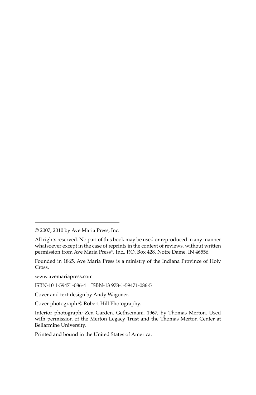Founded in 1865, Ave Maria Press is a ministry of the Indiana Province of Holy Cross.

www.avemariapress.com

ISBN-10 1-59471-086-4 ISBN-13 978-1-59471-086-5

Cover and text design by Andy Wagoner.

Cover photograph © Robert Hill Photography.

Printed and bound in the United States of America.

<sup>© 2007, 2010</sup> by Ave Maria Press, Inc.

All rights reserved. No part of this book may be used or reproduced in any manner whatsoever except in the case of reprints in the context of reviews, without written permission from Ave Maria Press®, Inc., P.O. Box 428, Notre Dame, IN 46556.

Interior photograph; Zen Garden, Gethsemani, 1967, by Thomas Merton. Used with permission of the Merton Legacy Trust and the Thomas Merton Center at Bellarmine University.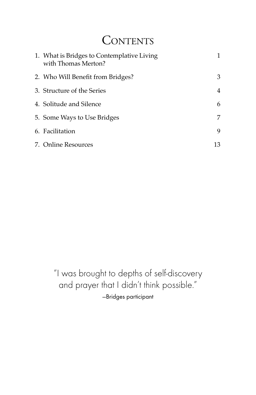## **CONTENTS**

| 1. What is Bridges to Contemplative Living<br>with Thomas Merton? |    |
|-------------------------------------------------------------------|----|
| 2. Who Will Benefit from Bridges?                                 | 3  |
| 3. Structure of the Series                                        | 4  |
| 4. Solitude and Silence                                           | 6  |
| 5. Some Ways to Use Bridges                                       | 7  |
| 6. Facilitation                                                   | 9  |
| 7. Online Resources                                               | 13 |

"I was brought to depths of self-discovery and prayer that I didn't think possible." —Bridges participant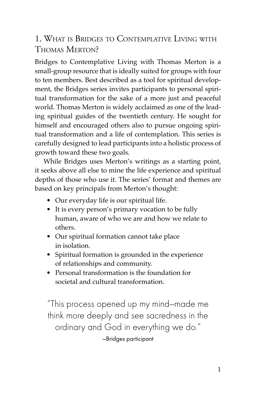#### 1. WHAT IS BRIDGES TO CONTEMPLATIVE LIVING WITH THOMAS MERTON?

Bridges to Contemplative Living with Thomas Merton is a small-group resource that is ideally suited for groups with four to ten members. Best described as a tool for spiritual development, the Bridges series invites participants to personal spiritual transformation for the sake of a more just and peaceful world. Thomas Merton is widely acclaimed as one of the leading spiritual guides of the twentieth century. He sought for himself and encouraged others also to pursue ongoing spiritual transformation and a life of contemplation. This series is carefully designed to lead participants into a holistic process of growth toward these two goals.

While Bridges uses Merton's writings as a starting point, it seeks above all else to mine the life experience and spiritual depths of those who use it. The series' format and themes are based on key principals from Merton's thought:

- Our everyday life is our spiritual life.
- It is every person's primary vocation to be fully human, aware of who we are and how we relate to others.
- Our spiritual formation cannot take place in isolation.
- Spiritual formation is grounded in the experience of relationships and community.
- Personal transformation is the foundation for societal and cultural transformation.

"This process opened up my mind—made me think more deeply and see sacredness in the ordinary and God in everything we do." —Bridges participant

1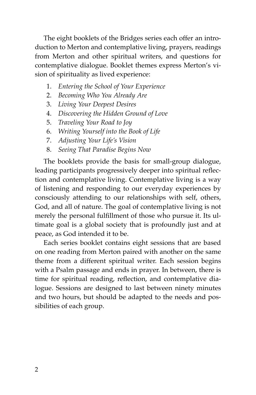The eight booklets of the Bridges series each offer an introduction to Merton and contemplative living, prayers, readings from Merton and other spiritual writers, and questions for contemplative dialogue. Booklet themes express Merton's vision of spirituality as lived experience:

- 1. *Entering the School of Your Experience*
- 2. *Becoming Who You Already Are*
- 3. *Living Your Deepest Desires*
- 4. *Discovering the Hidden Ground of Love*
- 5. *Traveling Your Road to Joy*
- 6. *Writing Yourself into the Book of Life*
- 7. *Adjusting Your Life's Vision*
- 8. *Seeing That Paradise Begins Now*

The booklets provide the basis for small-group dialogue, leading participants progressively deeper into spiritual reflection and contemplative living. Contemplative living is a way of listening and responding to our everyday experiences by consciously attending to our relationships with self, others, God, and all of nature. The goal of contemplative living is not merely the personal fulfillment of those who pursue it. Its ultimate goal is a global society that is profoundly just and at peace, as God intended it to be.

Each series booklet contains eight sessions that are based on one reading from Merton paired with another on the same theme from a different spiritual writer. Each session begins with a Psalm passage and ends in prayer. In between, there is time for spiritual reading, reflection, and contemplative dialogue. Sessions are designed to last between ninety minutes and two hours, but should be adapted to the needs and possibilities of each group.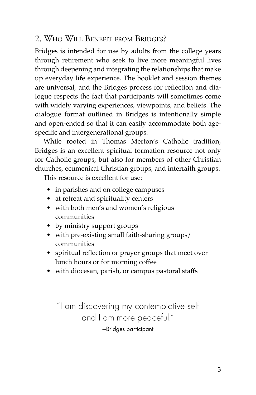#### 2. WHO WILL BENEFIT FROM BRIDGES?

Bridges is intended for use by adults from the college years through retirement who seek to live more meaningful lives through deepening and integrating the relationships that make up everyday life experience. The booklet and session themes are universal, and the Bridges process for reflection and dialogue respects the fact that participants will sometimes come with widely varying experiences, viewpoints, and beliefs. The dialogue format outlined in Bridges is intentionally simple and open-ended so that it can easily accommodate both agespecific and intergenerational groups.

While rooted in Thomas Merton's Catholic tradition, Bridges is an excellent spiritual formation resource not only for Catholic groups, but also for members of other Christian churches, ecumenical Christian groups, and interfaith groups.

This resource is excellent for use:

- in parishes and on college campuses
- at retreat and spirituality centers
- with both men's and women's religious communities
- by ministry support groups
- with pre-existing small faith-sharing groups/ communities
- spiritual reflection or prayer groups that meet over lunch hours or for morning coffee
- with diocesan, parish, or campus pastoral staffs

"I am discovering my contemplative self and I am more peaceful." —Bridges participant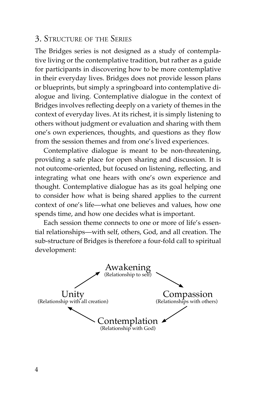#### 3. STRUCTURE OF THE SERIES

The Bridges series is not designed as a study of contemplative living or the contemplative tradition, but rather as a guide for participants in discovering how to be more contemplative in their everyday lives. Bridges does not provide lesson plans or blueprints, but simply a springboard into contemplative dialogue and living. Contemplative dialogue in the context of Bridges involves reflecting deeply on a variety of themes in the context of everyday lives. At its richest, it is simply listening to others without judgment or evaluation and sharing with them one's own experiences, thoughts, and questions as they flow from the session themes and from one's lived experiences.

Contemplative dialogue is meant to be non-threatening, providing a safe place for open sharing and discussion. It is not outcome-oriented, but focused on listening, reflecting, and integrating what one hears with one's own experience and thought. Contemplative dialogue has as its goal helping one to consider how what is being shared applies to the current context of one's life––what one believes and values, how one spends time, and how one decides what is important.

Each session theme connects to one or more of life's essential relationships––with self, others, God, and all creation. The sub-structure of Bridges is therefore a four-fold call to spiritual development:

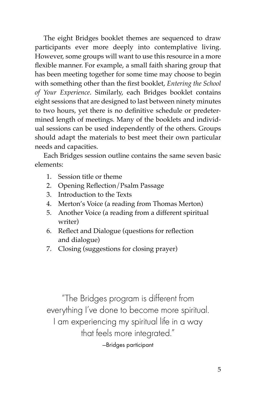The eight Bridges booklet themes are sequenced to draw participants ever more deeply into contemplative living. However, some groups will want to use this resource in a more flexible manner. For example, a small faith sharing group that has been meeting together for some time may choose to begin with something other than the first booklet, *Entering the School of Your Experience*. Similarly, each Bridges booklet contains eight sessions that are designed to last between ninety minutes to two hours, yet there is no definitive schedule or predetermined length of meetings. Many of the booklets and individual sessions can be used independently of the others. Groups should adapt the materials to best meet their own particular needs and capacities.

Each Bridges session outline contains the same seven basic elements:

- 1. Session title or theme
- 2. Opening Reflection/Psalm Passage
- 3. Introduction to the Texts
- 4. Merton's Voice (a reading from Thomas Merton)
- 5. Another Voice (a reading from a different spiritual writer)
- 6. Reflect and Dialogue (questions for reflection and dialogue)
- 7. Closing (suggestions for closing prayer)

"The Bridges program is different from everything I've done to become more spiritual. I am experiencing my spiritual life in a way that feels more integrated." —Bridges participant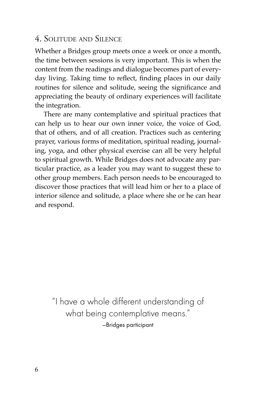#### 4. SOLITUDE AND SILENCE

Whether a Bridges group meets once a week or once a month, the time between sessions is very important. This is when the content from the readings and dialogue becomes part of everyday living. Taking time to reflect, finding places in our daily routines for silence and solitude, seeing the significance and appreciating the beauty of ordinary experiences will facilitate the integration.

There are many contemplative and spiritual practices that can help us to hear our own inner voice, the voice of God, that of others, and of all creation. Practices such as centering prayer, various forms of meditation, spiritual reading, journaling, yoga, and other physical exercise can all be very helpful to spiritual growth. While Bridges does not advocate any particular practice, as a leader you may want to suggest these to other group members. Each person needs to be encouraged to discover those practices that will lead him or her to a place of interior silence and solitude, a place where she or he can hear and respond.

"I have a whole different understanding of what being contemplative means." —Bridges participant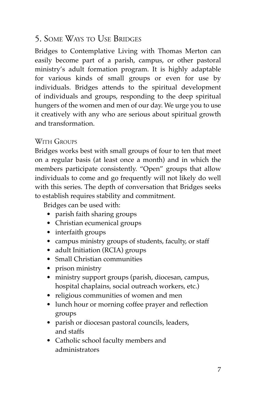#### 5. SOME WAYS TO USE BRIDGES

Bridges to Contemplative Living with Thomas Merton can easily become part of a parish, campus, or other pastoral ministry's adult formation program. It is highly adaptable for various kinds of small groups or even for use by individuals. Bridges attends to the spiritual development of individuals and groups, responding to the deep spiritual hungers of the women and men of our day. We urge you to use it creatively with any who are serious about spiritual growth and transformation.

#### WITH GROUPS

Bridges works best with small groups of four to ten that meet on a regular basis (at least once a month) and in which the members participate consistently. "Open" groups that allow individuals to come and go frequently will not likely do well with this series. The depth of conversation that Bridges seeks to establish requires stability and commitment.

Bridges can be used with:

- parish faith sharing groups
- Christian ecumenical groups
- interfaith groups
- campus ministry groups of students, faculty, or staff
- adult Initiation (RCIA) groups
- Small Christian communities
- prison ministry
- ministry support groups (parish, diocesan, campus, hospital chaplains, social outreach workers, etc.)
- religious communities of women and men
- lunch hour or morning coffee prayer and reflection groups
- parish or diocesan pastoral councils, leaders, and staffs
- Catholic school faculty members and administrators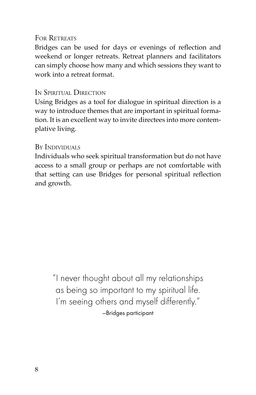#### FOR RETREATS

Bridges can be used for days or evenings of reflection and weekend or longer retreats. Retreat planners and facilitators can simply choose how many and which sessions they want to work into a retreat format.

#### IN SPIRITUAL DIRECTION

Using Bridges as a tool for dialogue in spiritual direction is a way to introduce themes that are important in spiritual formation. It is an excellent way to invite directees into more contemplative living.

#### BY INDIVIDUALS

Individuals who seek spiritual transformation but do not have access to a small group or perhaps are not comfortable with that setting can use Bridges for personal spiritual reflection and growth.

"I never thought about all my relationships as being so important to my spiritual life. I'm seeing others and myself differently." —Bridges participant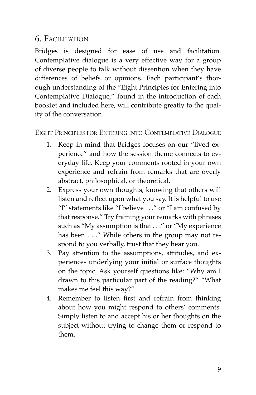#### 6. FACILITATION

Bridges is designed for ease of use and facilitation. Contemplative dialogue is a very effective way for a group of diverse people to talk without dissention when they have differences of beliefs or opinions. Each participant's thorough understanding of the "Eight Principles for Entering into Contemplative Dialogue," found in the introduction of each booklet and included here, will contribute greatly to the quality of the conversation.

#### EIGHT PRINCIPLES FOR ENTERING INTO CONTEMPLATIVE DIALOGUE

- 1. Keep in mind that Bridges focuses on our "lived experience" and how the session theme connects to everyday life. Keep your comments rooted in your own experience and refrain from remarks that are overly abstract, philosophical, or theoretical.
- 2. Express your own thoughts, knowing that others will listen and reflect upon what you say. It is helpful to use "I" statements like "I believe . . ." or "I am confused by that response." Try framing your remarks with phrases such as "My assumption is that . . ." or "My experience has been . . ." While others in the group may not respond to you verbally, trust that they hear you.
- 3. Pay attention to the assumptions, attitudes, and experiences underlying your initial or surface thoughts on the topic. Ask yourself questions like: "Why am I drawn to this particular part of the reading?" "What makes me feel this way?"
- 4. Remember to listen first and refrain from thinking about how you might respond to others' comments. Simply listen to and accept his or her thoughts on the subject without trying to change them or respond to them.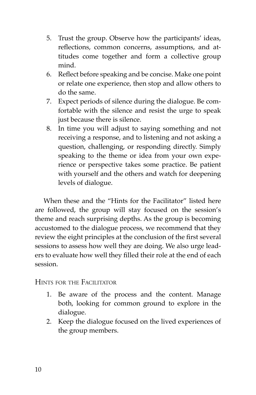- 5. Trust the group. Observe how the participants' ideas, reflections, common concerns, assumptions, and attitudes come together and form a collective group mind.
- 6. Reflect before speaking and be concise. Make one point or relate one experience, then stop and allow others to do the same.
- 7. Expect periods of silence during the dialogue. Be comfortable with the silence and resist the urge to speak just because there is silence.
- 8. In time you will adjust to saying something and not receiving a response, and to listening and not asking a question, challenging, or responding directly. Simply speaking to the theme or idea from your own experience or perspective takes some practice. Be patient with yourself and the others and watch for deepening levels of dialogue.

When these and the "Hints for the Facilitator" listed here are followed, the group will stay focused on the session's theme and reach surprising depths. As the group is becoming accustomed to the dialogue process, we recommend that they review the eight principles at the conclusion of the first several sessions to assess how well they are doing. We also urge leaders to evaluate how well they filled their role at the end of each session.

HINTS FOR THE FACILITATOR

- 1. Be aware of the process and the content. Manage both, looking for common ground to explore in the dialogue.
- 2. Keep the dialogue focused on the lived experiences of the group members.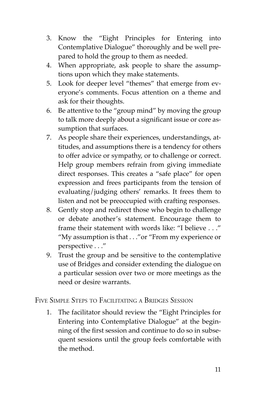- 3. Know the "Eight Principles for Entering into Contemplative Dialogue" thoroughly and be well prepared to hold the group to them as needed.
- 4. When appropriate, ask people to share the assumptions upon which they make statements.
- 5. Look for deeper level "themes" that emerge from everyone's comments. Focus attention on a theme and ask for their thoughts.
- 6. Be attentive to the "group mind" by moving the group to talk more deeply about a significant issue or core assumption that surfaces.
- 7. As people share their experiences, understandings, attitudes, and assumptions there is a tendency for others to offer advice or sympathy, or to challenge or correct. Help group members refrain from giving immediate direct responses. This creates a "safe place" for open expression and frees participants from the tension of evaluating/judging others' remarks. It frees them to listen and not be preoccupied with crafting responses.
- 8. Gently stop and redirect those who begin to challenge or debate another's statement. Encourage them to frame their statement with words like: "I believe . . ." "My assumption is that . . ."or "From my experience or perspective . . ."
- 9. Trust the group and be sensitive to the contemplative use of Bridges and consider extending the dialogue on a particular session over two or more meetings as the need or desire warrants.

FIVE SIMPLE STEPS TO FACILITATING A BRIDGES SESSION

1. The facilitator should review the "Eight Principles for Entering into Contemplative Dialogue" at the beginning of the first session and continue to do so in subsequent sessions until the group feels comfortable with the method.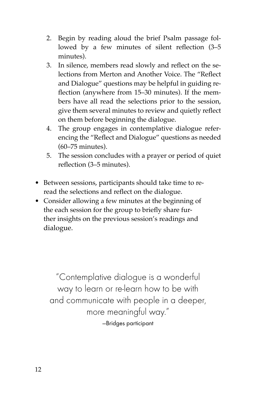- 2. Begin by reading aloud the brief Psalm passage followed by a few minutes of silent reflection  $(3-5)$ minutes).
- 3. In silence, members read slowly and reflect on the selections from Merton and Another Voice. The "Reflect and Dialogue" questions may be helpful in guiding reflection (anywhere from 15–30 minutes). If the members have all read the selections prior to the session, give them several minutes to review and quietly reflect on them before beginning the dialogue.
- 4. The group engages in contemplative dialogue referencing the "Reflect and Dialogue" questions as needed (60–75 minutes).
- 5. The session concludes with a prayer or period of quiet reflection (3–5 minutes).
- Between sessions, participants should take time to reread the selections and reflect on the dialogue.
- Consider allowing a few minutes at the beginning of the each session for the group to briefly share further insights on the previous session's readings and dialogue.

"Contemplative dialogue is a wonderful way to learn or re-learn how to be with and communicate with people in a deeper, more meaningful way." —Bridges participant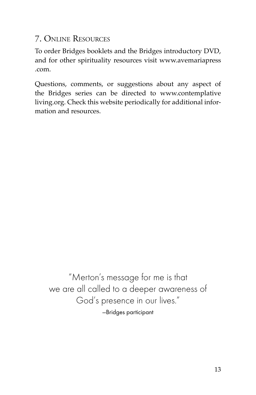#### 7. ONLINE RESOURCES

To order Bridges booklets and the Bridges introductory DVD, and for other spirituality resources visit www.avemariapress .com.

Questions, comments, or suggestions about any aspect of the Bridges series can be directed to www.contemplative living.org. Check this website periodically for additional information and resources.

"Merton's message for me is that we are all called to a deeper awareness of God's presence in our lives." —Bridges participant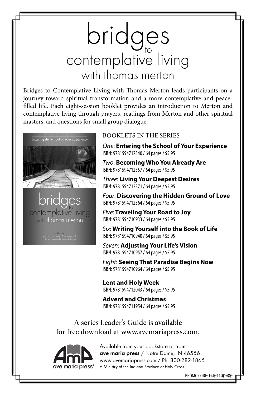# bridges<br>contemplative living with thomas merton

Bridges to Contemplative Living with Thomas Merton leads participants on a journey toward spiritual transformation and a more contemplative and peacefilled life. Each eight-session booklet provides an introduction to Merton and contemplative living through prayers, readings from Merton and other spiritual masters, and questions for small group dialogue.



contemplative living with thomas merton

#### BOOKLETS IN THE SERIES

One: **Entering the School of Your Experience**  ISBN: 9781594712340 / 64 pages / \$5.95

Two: **Becoming Who You Already Are** ISBN: 9781594712357 / 64 pages / \$5.95

Three: **Living Your Deepest Desires**  ISBN: 9781594712371 / 64 pages / \$5.95

Four: **Discovering the Hidden Ground of Love**  ISBN: 9781594712364 / 64 pages / \$5.95

Five: **Traveling Your Road to Joy** ISBN: 9781594710933 / 64 pages / \$5.95

Six: **Writing Yourself into the Book of Life**  ISBN: 9781594710940 / 64 pages / \$5.95

Seven: **Adjusting Your Life's Vision**  ISBN: 9781594710957 / 64 pages / \$5.95

Eight: **Seeing That Paradise Begins Now**  ISBN: 9781594710964 / 64 pages / \$5.95

**Lent and Holy Week** ISBN: 9781594712043 / 64 pages / \$5.95

**Advent and Christmas** ISBN: 9781594711954 / 64 pages / \$5.95

A series Leader's Guide is available for free download at www.avemariapress.com.



Available from your bookstore or from ave maria press / Notre Dame, IN 46556 www.avemariapress.com / Ph: 800-282-1865 A Ministry of the Indiana Province of Holy Cross

PROMO CODE: F4JØ11ØØØØØ